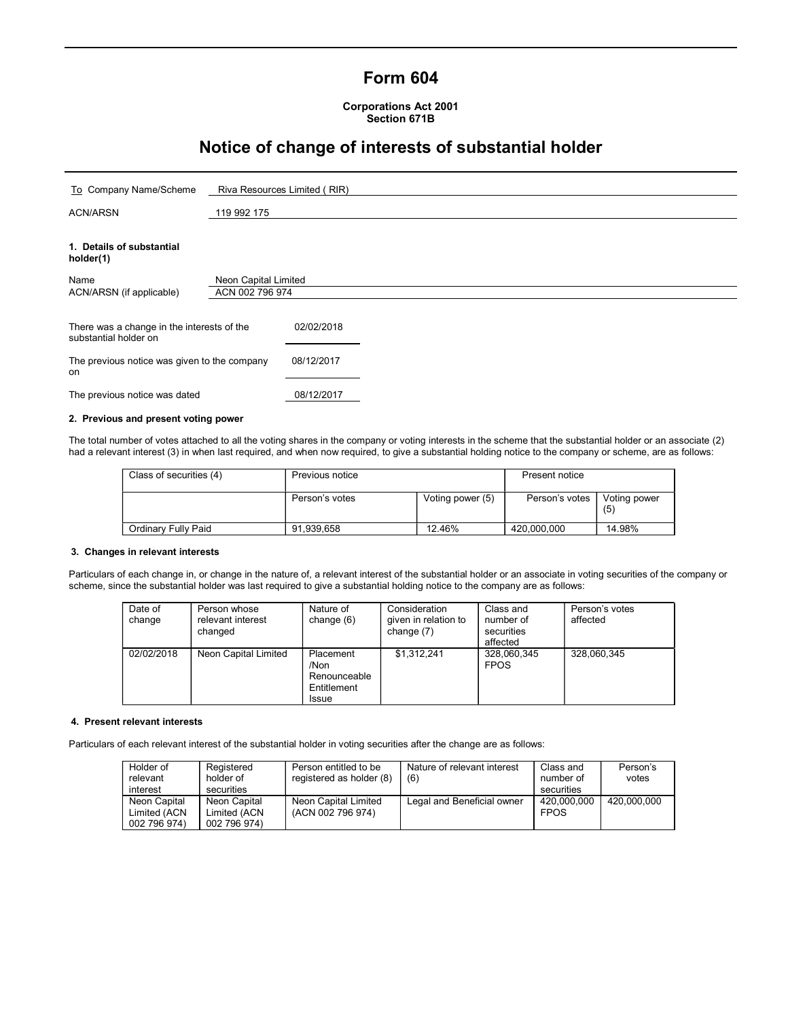## Form 604

Corporations Act 2001 Section 671B

# Notice of change of interests of substantial holder

| To Company Name/Scheme                                              | Riva Resources Limited (RIR) |            |  |  |
|---------------------------------------------------------------------|------------------------------|------------|--|--|
| <b>ACN/ARSN</b>                                                     | 119 992 175                  |            |  |  |
| 1. Details of substantial<br>holder(1)                              |                              |            |  |  |
| Name<br>Neon Capital Limited                                        |                              |            |  |  |
| ACN/ARSN (if applicable)                                            | ACN 002 796 974              |            |  |  |
| There was a change in the interests of the<br>substantial holder on |                              | 02/02/2018 |  |  |
| The previous notice was given to the company<br>on                  |                              | 08/12/2017 |  |  |
| The previous notice was dated                                       |                              | 08/12/2017 |  |  |
| 2. Previous and present voting power                                |                              |            |  |  |

The total number of votes attached to all the voting shares in the company or voting interests in the scheme that the substantial holder or an associate (2) had a relevant interest (3) in when last required, and when now required, to give a substantial holding notice to the company or scheme, are as follows:

| Class of securities (4) | Previous notice |                  | Present notice |                     |
|-------------------------|-----------------|------------------|----------------|---------------------|
|                         | Person's votes  | Voting power (5) | Person's votes | Voting power<br>(5) |
| Ordinary Fully Paid     | 91.939.658      | 12.46%           | 420.000.000    | 14.98%              |

## 3. Changes in relevant interests

Particulars of each change in, or change in the nature of, a relevant interest of the substantial holder or an associate in voting securities of the company or scheme, since the substantial holder was last required to give a substantial holding notice to the company are as follows:

| Date of<br>change | Person whose<br>relevant interest<br>changed | Nature of<br>change (6)                                          | Consideration<br>given in relation to<br>change $(7)$ | Class and<br>number of<br>securities<br>affected | Person's votes<br>affected |
|-------------------|----------------------------------------------|------------------------------------------------------------------|-------------------------------------------------------|--------------------------------------------------|----------------------------|
| 02/02/2018        | Neon Capital Limited                         | Placement<br>/Non<br>Renounceable<br>Entitlement<br><b>Issue</b> | \$1,312,241                                           | 328,060,345<br><b>FPOS</b>                       | 328,060,345                |

## 4. Present relevant interests

Particulars of each relevant interest of the substantial holder in voting securities after the change are as follows:

| Holder of<br>relevant | Registered<br>holder of | Person entitled to be<br>registered as holder (8) | Nature of relevant interest<br>(6) | Class and<br>number of | Person's<br>votes |
|-----------------------|-------------------------|---------------------------------------------------|------------------------------------|------------------------|-------------------|
| interest              | securities              |                                                   |                                    | securities             |                   |
| Neon Capital          | Neon Capital            | Neon Capital Limited                              | Legal and Beneficial owner         | 420.000.000            | 420.000.000       |
| Limited (ACN          | Limited (ACN            | (ACN 002 796 974)                                 |                                    | <b>FPOS</b>            |                   |
| 002 796 974)          | 002 796 974)            |                                                   |                                    |                        |                   |